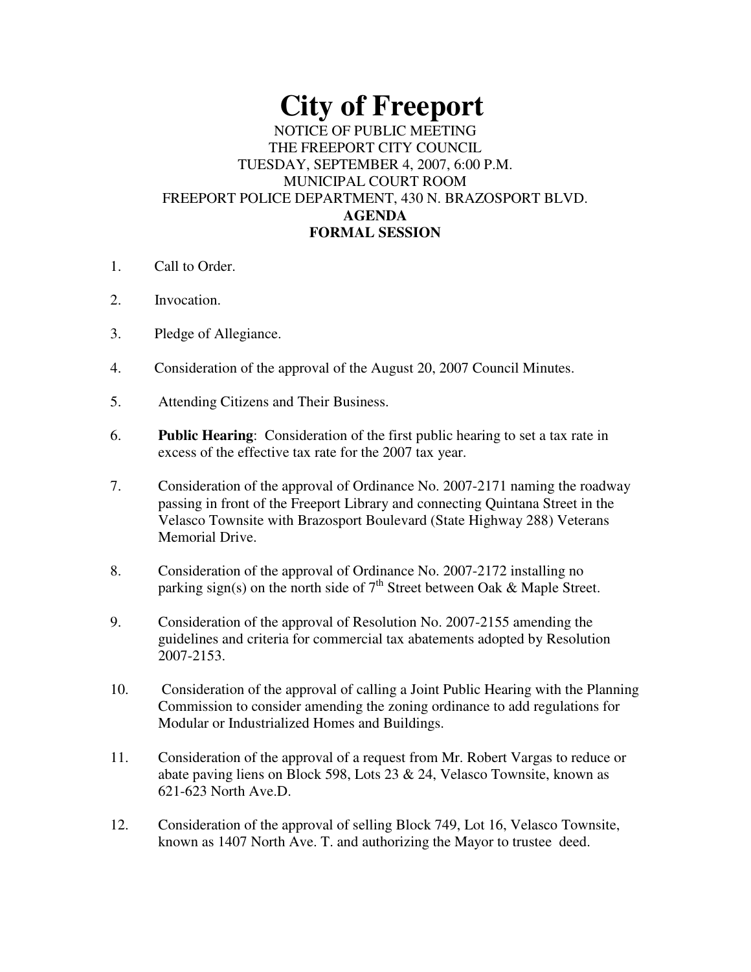# **City of Freeport**

#### NOTICE OF PUBLIC MEETING THE FREEPORT CITY COUNCIL TUESDAY, SEPTEMBER 4, 2007, 6:00 P.M. MUNICIPAL COURT ROOM FREEPORT POLICE DEPARTMENT, 430 N. BRAZOSPORT BLVD. **AGENDA FORMAL SESSION**

- 1. Call to Order.
- 2. Invocation.
- 3. Pledge of Allegiance.
- 4. Consideration of the approval of the August 20, 2007 Council Minutes.
- 5. Attending Citizens and Their Business.
- 6. **Public Hearing**: Consideration of the first public hearing to set a tax rate in excess of the effective tax rate for the 2007 tax year.
- 7. Consideration of the approval of Ordinance No. 2007-2171 naming the roadway passing in front of the Freeport Library and connecting Quintana Street in the Velasco Townsite with Brazosport Boulevard (State Highway 288) Veterans Memorial Drive.
- 8. Consideration of the approval of Ordinance No. 2007-2172 installing no parking sign(s) on the north side of  $7<sup>th</sup>$  Street between Oak & Maple Street.
- 9. Consideration of the approval of Resolution No. 2007-2155 amending the guidelines and criteria for commercial tax abatements adopted by Resolution 2007-2153.
- 10. Consideration of the approval of calling a Joint Public Hearing with the Planning Commission to consider amending the zoning ordinance to add regulations for Modular or Industrialized Homes and Buildings.
- 11. Consideration of the approval of a request from Mr. Robert Vargas to reduce or abate paving liens on Block 598, Lots 23 & 24, Velasco Townsite, known as 621-623 North Ave.D.
- 12. Consideration of the approval of selling Block 749, Lot 16, Velasco Townsite, known as 1407 North Ave. T. and authorizing the Mayor to trustee deed.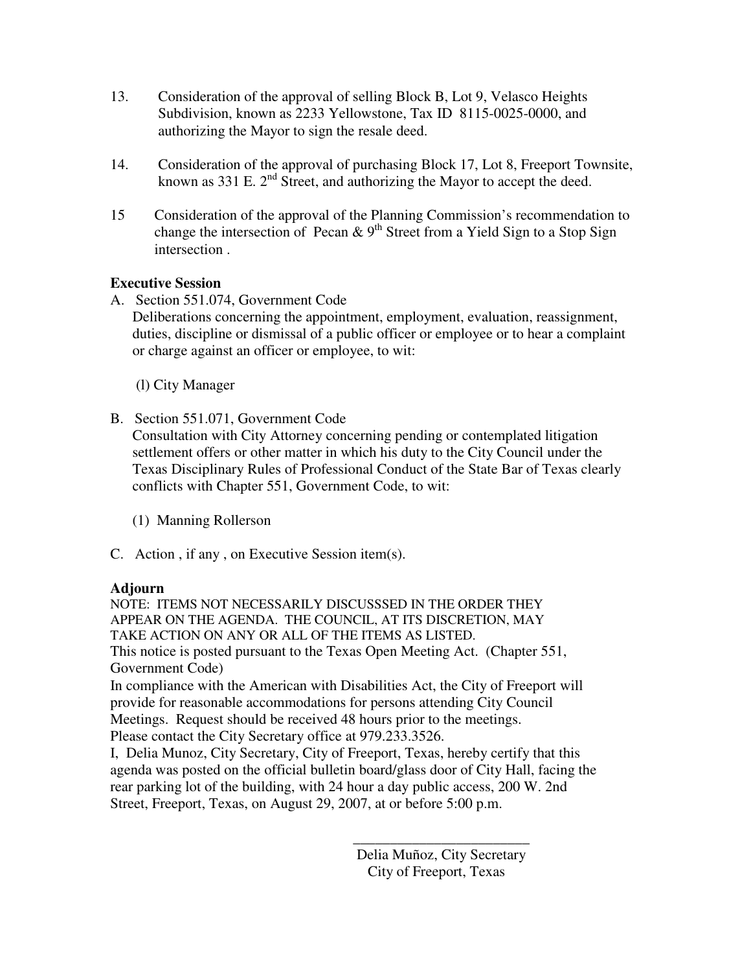- 13. Consideration of the approval of selling Block B, Lot 9, Velasco Heights Subdivision, known as 2233 Yellowstone, Tax ID 8115-0025-0000, and authorizing the Mayor to sign the resale deed.
- 14. Consideration of the approval of purchasing Block 17, Lot 8, Freeport Townsite, known as 331 E.  $2<sup>nd</sup>$  Street, and authorizing the Mayor to accept the deed.
- 15 Consideration of the approval of the Planning Commission's recommendation to change the intersection of Pecan & 9<sup>th</sup> Street from a Yield Sign to a Stop Sign intersection .

## **Executive Session**

A. Section 551.074, Government Code

Deliberations concerning the appointment, employment, evaluation, reassignment, duties, discipline or dismissal of a public officer or employee or to hear a complaint or charge against an officer or employee, to wit:

(l) City Manager

B. Section 551.071, Government Code

Consultation with City Attorney concerning pending or contemplated litigation settlement offers or other matter in which his duty to the City Council under the Texas Disciplinary Rules of Professional Conduct of the State Bar of Texas clearly conflicts with Chapter 551, Government Code, to wit:

(1) Manning Rollerson

C. Action , if any , on Executive Session item(s).

#### **Adjourn**

NOTE: ITEMS NOT NECESSARILY DISCUSSSED IN THE ORDER THEY APPEAR ON THE AGENDA. THE COUNCIL, AT ITS DISCRETION, MAY TAKE ACTION ON ANY OR ALL OF THE ITEMS AS LISTED. This notice is posted pursuant to the Texas Open Meeting Act. (Chapter 551, Government Code)

In compliance with the American with Disabilities Act, the City of Freeport will provide for reasonable accommodations for persons attending City Council Meetings. Request should be received 48 hours prior to the meetings. Please contact the City Secretary office at 979.233.3526.

I, Delia Munoz, City Secretary, City of Freeport, Texas, hereby certify that this agenda was posted on the official bulletin board/glass door of City Hall, facing the rear parking lot of the building, with 24 hour a day public access, 200 W. 2nd Street, Freeport, Texas, on August 29, 2007, at or before 5:00 p.m.

> Delia Muñoz, City Secretary City of Freeport, Texas

> \_\_\_\_\_\_\_\_\_\_\_\_\_\_\_\_\_\_\_\_\_\_\_\_